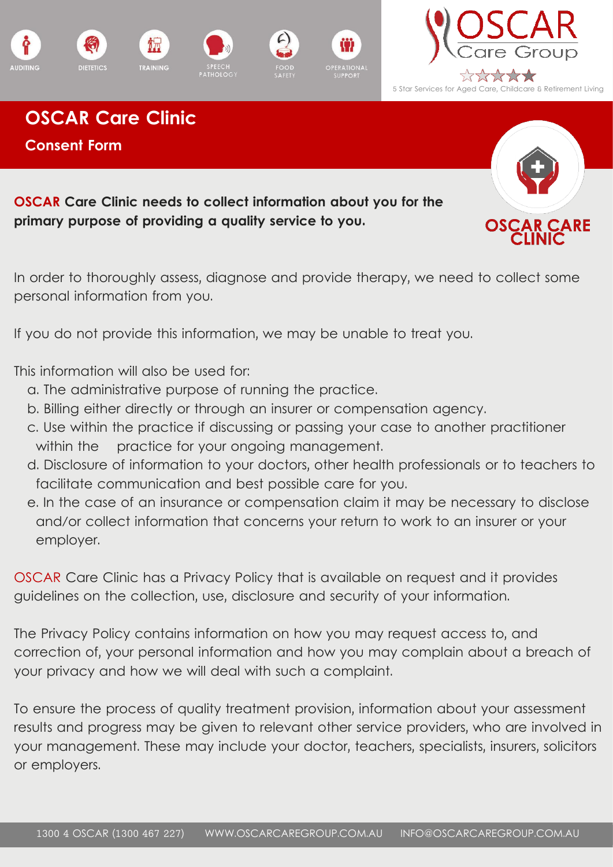









**OSCAR Care Clinic and accurate weight matter weight matter weight matter.** By OSCAR Care Group Lead Dietitian, Ella Monaghan **Consent Form**

**OSCAR Care Clinic needs to collect information about you for the primary purpose of providing a quality service to you.** 

In order to thoroughly assess, diagnose and provide therapy, we need to collect some personal information from you.

If you do not provide this information, we may be unable to treat you.

This information will also be used for:

- a. The administrative purpose of running the practice.
- b. Billing either directly or through an insurer or compensation agency.
- c. Use within the practice if discussing or passing your case to another practitioner within the practice for your ongoing management.
- d. Disclosure of information to your doctors, other health professionals or to teachers to facilitate communication and best possible care for you.
- e. In the case of an insurance or compensation claim it may be necessary to disclose and/or collect information that concerns your return to work to an insurer or your employer.

OSCAR Care Clinic has a Privacy Policy that is available on request and it provides guidelines on the collection, use, disclosure and security of your information.

The Privacy Policy contains information on how you may request access to, and correction of, your personal information and how you may complain about a breach of your privacy and how we will deal with such a complaint.

To ensure the process of quality treatment provision, information about your assessment results and progress may be given to relevant other service providers, who are involved in your management. These may include your doctor, teachers, specialists, insurers, solicitors or employers.